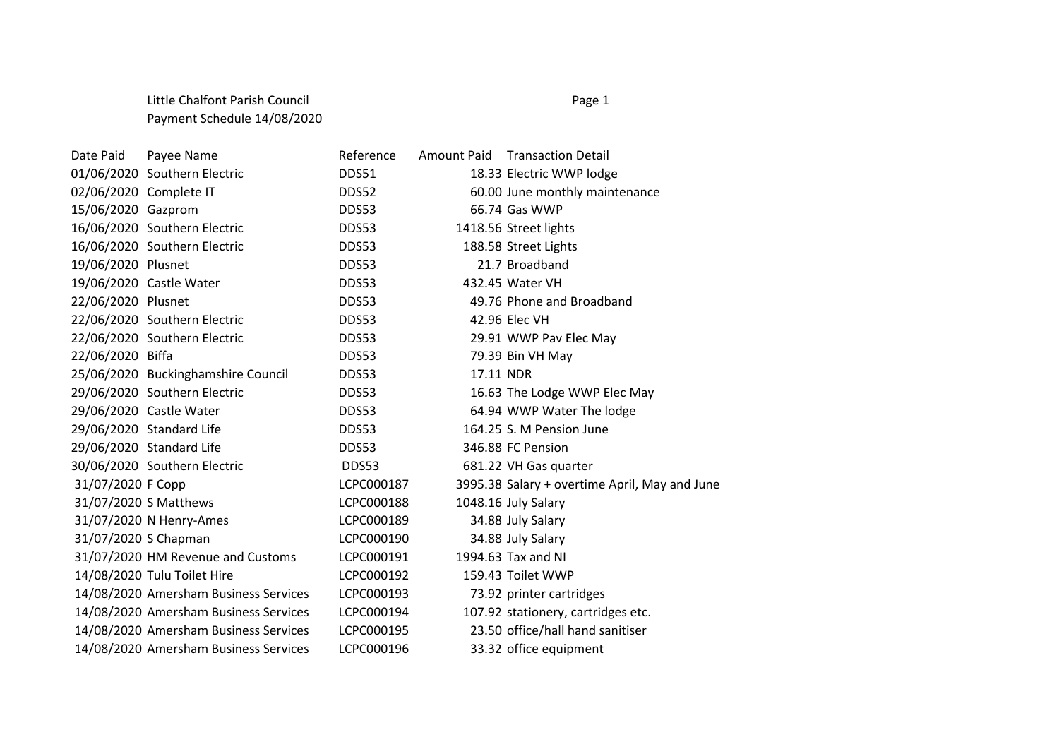## Little Chalfont Parish Council **Page 1** Page 1 Payment Schedule 14/08/2020

Date Paid Payee Name **Reference** Amount Paid Transaction Detail 01/06/2020 Southern Electric CDDS51 18.33 Electric WWP lodge 02/06/2020 Complete IT DDS52 60.00 June monthly maintenance 15/06/2020 Gazprom DDS53 66.74 Gas WWP 16/06/2020 Southern Electric DDS53 1418.56 Street lights 16/06/2020 Southern Electric DDS53 188.58 Street Lights 19/06/2020 Plusnet DDS53 21.7 Broadband 19/06/2020 Castle Water DDS53 432.45 Water VH 22/06/2020 Plusnet DDS53 49.76 Phone and Broadband 22/06/2020 Southern Electric DDS53 42.96 Elec VH 22/06/2020 Southern Electric DDS53 29.91 WWP Pav Elec May 22/06/2020 Biffa DDS53 79.39 Bin VH May 25/06/2020 Buckinghamshire Council DDS53 17.11 NDR 29/06/2020 Southern Electric DDS53 16.63 The Lodge WWP Elec May 29/06/2020 Castle Water DDS53 64.94 WWP Water The lodge 29/06/2020 Standard Life DDS53 164.25 S. M Pension June 29/06/2020 Standard Life DDS53 346.88 FC Pension 30/06/2020 Southern Electric DDS53 681.22 VH Gas quarter 31/07/2020 F Copp LCPC000187 3995.38 Salary + overtime April, May and June 31/07/2020 S Matthews LCPC000188 1048.16 July Salary 31/07/2020 N Henry-Ames LCPC000189 34.88 July Salary 31/07/2020 S Chapman LCPC000190 34.88 July Salary 31/07/2020 HM Revenue and Customs LCPC000191 1994.63 Tax and NI 14/08/2020 Tulu Toilet Hire LCPC000192 159.43 Toilet WWP 14/08/2020 Amersham Business Services LCPC000193 73.92 printer cartridges 14/08/2020 Amersham Business Services LCPC000194 107.92 stationery, cartridges etc. 14/08/2020 Amersham Business Services LCPC000195 23.50 office/hall hand sanitiser 14/08/2020 Amersham Business Services LCPC000196 33.32 office equipment